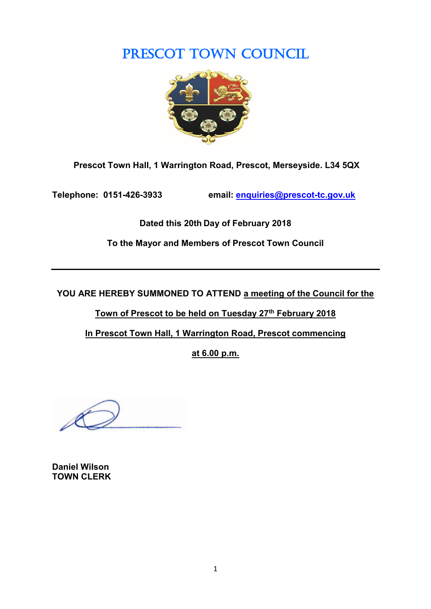# PRESCOT TOWN COUNCIL



**Prescot Town Hall, 1 Warrington Road, Prescot, Merseyside. L34 5QX**

**Telephone: 0151-426-3933 email: [enquiries@prescot-tc.gov.uk](mailto:enquiries@prescot-tc.gov.uk)**

**Dated this 20th Day of February 2018**

**To the Mayor and Members of Prescot Town Council**

**YOU ARE HEREBY SUMMONED TO ATTEND a meeting of the Council for the** 

**Town of Prescot to be held on Tuesday 27th February 2018**

**In Prescot Town Hall, 1 Warrington Road, Prescot commencing**

**at 6.00 p.m.**

**Daniel Wilson TOWN CLERK**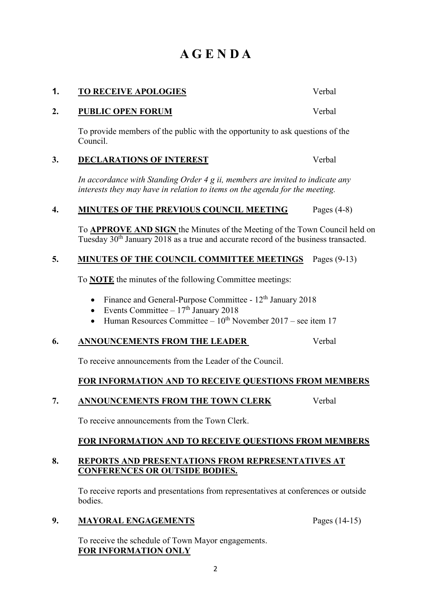# **A G E N D A**

# **1. TO RECEIVE APOLOGIES** Verbal

## **2. PUBLIC OPEN FORUM** Verbal

To provide members of the public with the opportunity to ask questions of the Council.

## **3. DECLARATIONS OF INTEREST** Verbal

*In accordance with Standing Order 4 g ii, members are invited to indicate any interests they may have in relation to items on the agenda for the meeting.*

## **4. MINUTES OF THE PREVIOUS COUNCIL MEETING** Pages (4-8)

To **APPROVE AND SIGN** the Minutes of the Meeting of the Town Council held on Tuesday 30th January 2018 as a true and accurate record of the business transacted.

## **5. MINUTES OF THE COUNCIL COMMITTEE MEETINGS** Pages (9-13)

To **NOTE** the minutes of the following Committee meetings:

- Finance and General-Purpose Committee  $12<sup>th</sup>$  January 2018
- Events Committee  $-17<sup>th</sup>$  January 2018
- Human Resources Committee  $10^{th}$  November 2017 see item 17

# **6. ANNOUNCEMENTS FROM THE LEADER** Verbal

To receive announcements from the Leader of the Council.

# **FOR INFORMATION AND TO RECEIVE QUESTIONS FROM MEMBERS**

# **7. ANNOUNCEMENTS FROM THE TOWN CLERK** Verbal

To receive announcements from the Town Clerk.

# **FOR INFORMATION AND TO RECEIVE QUESTIONS FROM MEMBERS**

### **8. REPORTS AND PRESENTATIONS FROM REPRESENTATIVES AT CONFERENCES OR OUTSIDE BODIES.**

To receive reports and presentations from representatives at conferences or outside bodies.

### **9. MAYORAL ENGAGEMENTS** Pages (14-15)

To receive the schedule of Town Mayor engagements. **FOR INFORMATION ONLY**